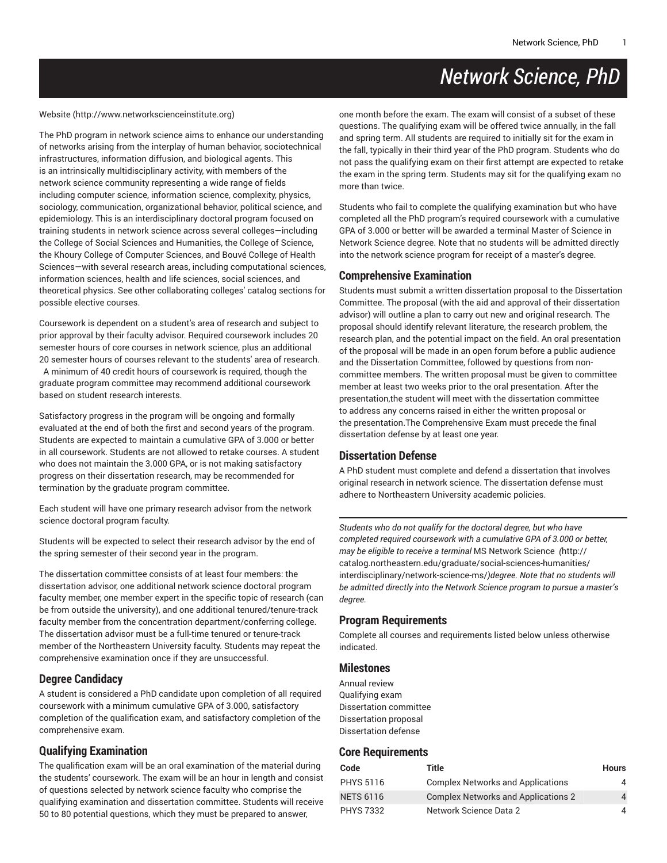# *Network Science, PhD*

[Website](http://www.networkscienceinstitute.org) ([http://www.networkscienceinstitute.org\)](http://www.networkscienceinstitute.org)

The PhD program in network science aims to enhance our understanding of networks arising from the interplay of human behavior, sociotechnical infrastructures, information diffusion, and biological agents. This is an intrinsically multidisciplinary activity, with members of the network science community representing a wide range of fields including computer science, information science, complexity, physics, sociology, communication, organizational behavior, political science, and epidemiology. This is an interdisciplinary doctoral program focused on training students in network science across several colleges—including the College of Social Sciences and Humanities, the College of Science, the Khoury College of Computer Sciences, and Bouvé College of Health Sciences—with several research areas, including computational sciences, information sciences, health and life sciences, social sciences, and theoretical physics. See other collaborating colleges' catalog sections for possible elective courses.

Coursework is dependent on a student's area of research and subject to prior approval by their faculty advisor. Required coursework includes 20 semester hours of core courses in network science, plus an additional 20 semester hours of courses relevant to the students' area of research. A minimum of 40 credit hours of coursework is required, though the graduate program committee may recommend additional coursework based on student research interests.

Satisfactory progress in the program will be ongoing and formally evaluated at the end of both the first and second years of the program. Students are expected to maintain a cumulative GPA of 3.000 or better in all coursework. Students are not allowed to retake courses. A student who does not maintain the 3.000 GPA, or is not making satisfactory progress on their dissertation research, may be recommended for termination by the graduate program committee.

Each student will have one primary research advisor from the network science doctoral program faculty.

Students will be expected to select their research advisor by the end of the spring semester of their second year in the program.

The dissertation committee consists of at least four members: the dissertation advisor, one additional network science doctoral program faculty member, one member expert in the specific topic of research (can be from outside the university), and one additional tenured/tenure-track faculty member from the concentration department/conferring college. The dissertation advisor must be a full-time tenured or tenure-track member of the Northeastern University faculty. Students may repeat the comprehensive examination once if they are unsuccessful.

## **Degree Candidacy**

A student is considered a PhD candidate upon completion of all required coursework with a minimum cumulative GPA of 3.000, satisfactory completion of the qualification exam, and satisfactory completion of the comprehensive exam.

## **Qualifying Examination**

The qualification exam will be an oral examination of the material during the students' coursework. The exam will be an hour in length and consist of questions selected by network science faculty who comprise the qualifying examination and dissertation committee. Students will receive 50 to 80 potential questions, which they must be prepared to answer,

one month before the exam. The exam will consist of a subset of these questions. The qualifying exam will be offered twice annually, in the fall and spring term. All students are required to initially sit for the exam in the fall, typically in their third year of the PhD program. Students who do not pass the qualifying exam on their first attempt are expected to retake the exam in the spring term. Students may sit for the qualifying exam no more than twice.

Students who fail to complete the qualifying examination but who have completed all the PhD program's required coursework with a cumulative GPA of 3.000 or better will be awarded a terminal Master of Science in Network Science degree. Note that no students will be admitted directly into the network science program for receipt of a master's degree.

## **Comprehensive Examination**

Students must submit a written dissertation proposal to the Dissertation Committee. The proposal (with the aid and approval of their dissertation advisor) will outline a plan to carry out new and original research. The proposal should identify relevant literature, the research problem, the research plan, and the potential impact on the field. An oral presentation of the proposal will be made in an open forum before a public audience and the Dissertation Committee, followed by questions from noncommittee members. The written proposal must be given to committee member at least two weeks prior to the oral presentation. After the presentation,the student will meet with the dissertation committee to address any concerns raised in either the written proposal or the presentation.The Comprehensive Exam must precede the final dissertation defense by at least one year.

#### **Dissertation Defense**

A PhD student must complete and defend a dissertation that involves original research in network science. The dissertation defense must adhere to Northeastern University academic policies.

*Students who do not qualify for the doctoral degree, but who have completed required coursework with a cumulative GPA of 3.000 or better, may be eligible to receive a terminal* [MS Network Science](http://catalog.northeastern.edu/graduate/social-sciences-humanities/interdisciplinary/network-science-ms/)  *(*[http://](http://catalog.northeastern.edu/graduate/social-sciences-humanities/interdisciplinary/network-science-ms/) [catalog.northeastern.edu/graduate/social-sciences-humanities/](http://catalog.northeastern.edu/graduate/social-sciences-humanities/interdisciplinary/network-science-ms/) [interdisciplinary/network-science-ms/](http://catalog.northeastern.edu/graduate/social-sciences-humanities/interdisciplinary/network-science-ms/)*)degree. Note that no students will be admitted directly into the Network Science program to pursue a master's degree.*

#### **Program Requirements**

Complete all courses and requirements listed below unless otherwise indicated.

#### **Milestones**

Annual review Qualifying exam Dissertation committee Dissertation proposal Dissertation defense

#### **Core Requirements**

| Code             | Title                                      | <b>Hours</b> |
|------------------|--------------------------------------------|--------------|
| <b>PHYS 5116</b> | <b>Complex Networks and Applications</b>   | 4            |
| <b>NETS 6116</b> | <b>Complex Networks and Applications 2</b> | 4            |
| <b>PHYS 7332</b> | Network Science Data 2                     | 4            |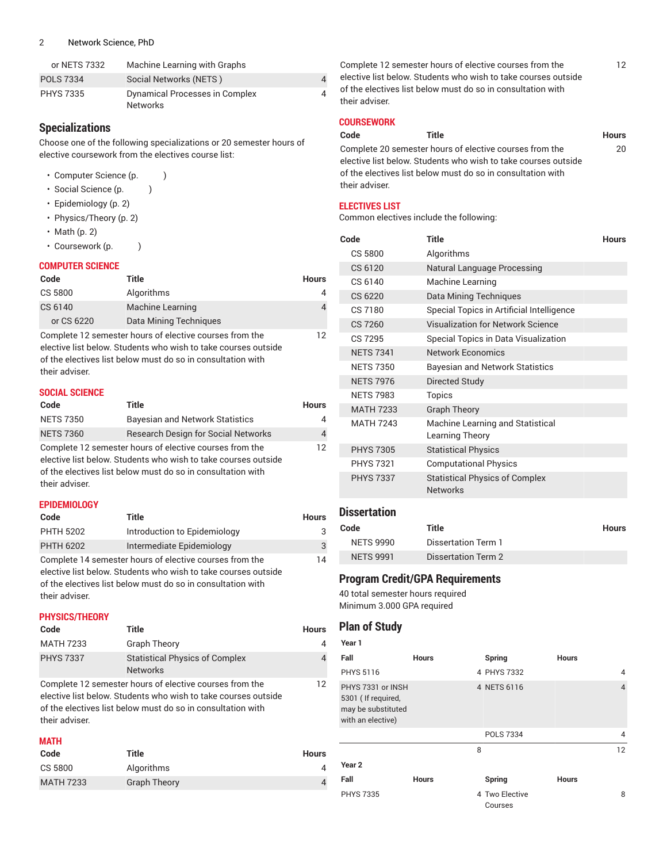| or NETS 7332     | Machine Learning with Graphs          |   |
|------------------|---------------------------------------|---|
| <b>POLS 7334</b> | Social Networks (NETS)                |   |
| <b>PHYS 7335</b> | <b>Dynamical Processes in Complex</b> | 4 |
|                  | <b>Networks</b>                       |   |

## **Specializations**

Choose one of the following specializations or 20 semester hours of elective coursework from the electives course list:

- Computer Science (p.  $)$
- Social Science (p.  $\qquad$  )
- [Epidemiology \(p. 2](#page-1-0))
- [Physics/Theory](#page-1-1) [\(p. 2](#page-1-1))
- [Math \(p. 2\)](#page-1-2)
- Coursework (p. )

#### **COMPUTER SCIENCE**

| Code                                                    | Title                  | <b>Hours</b> |
|---------------------------------------------------------|------------------------|--------------|
| CS 5800                                                 | Algorithms             |              |
| CS 6140                                                 | Machine Learning       |              |
| or CS 6220                                              | Data Mining Techniques |              |
| Complete 12 semester hours of elective courses from the |                        |              |

Complete 12 semester hours of elective courses from the elective list below. Students who wish to take courses outside of the electives list below must do so in consultation with their adviser.

#### **SOCIAL SCIENCE**

| Code             | Title                                                                                                                                                                                    | Hours          |
|------------------|------------------------------------------------------------------------------------------------------------------------------------------------------------------------------------------|----------------|
| <b>NETS 7350</b> | <b>Bayesian and Network Statistics</b>                                                                                                                                                   | 4              |
| <b>NETS 7360</b> | <b>Research Design for Social Networks</b>                                                                                                                                               | $\overline{4}$ |
| their adviser.   | Complete 12 semester hours of elective courses from the<br>elective list below. Students who wish to take courses outside<br>of the electives list below must do so in consultation with | 12             |

#### <span id="page-1-0"></span>**EPIDEMIOLOGY**

| Code             | Title                                                                                                                                                                                    | <b>Hours</b> |
|------------------|------------------------------------------------------------------------------------------------------------------------------------------------------------------------------------------|--------------|
| <b>PHTH 5202</b> | Introduction to Epidemiology                                                                                                                                                             | 3            |
| <b>PHTH 6202</b> | Intermediate Epidemiology                                                                                                                                                                | 3            |
| their adviser.   | Complete 14 semester hours of elective courses from the<br>elective list below. Students who wish to take courses outside<br>of the electives list below must do so in consultation with | 14           |

#### <span id="page-1-1"></span>**PHYSICS/THEORY**

| Code             | Title                                                    | <b>Hours</b> |
|------------------|----------------------------------------------------------|--------------|
| <b>MATH 7233</b> | <b>Graph Theory</b>                                      | 4            |
| <b>PHYS 7337</b> | <b>Statistical Physics of Complex</b><br><b>Networks</b> | 4            |
|                  | Complete 12 semester hours of elective courses from the  | 12           |

Complete 12 semester hours of elective courses from the elective list below. Students who wish to take courses outside of the electives list below must do so in consultation with their adviser.

## <span id="page-1-2"></span>**MATH**

| Code             | Title               | <b>Hours</b> |
|------------------|---------------------|--------------|
| CS 5800          | Algorithms          |              |
| <b>MATH 7233</b> | <b>Graph Theory</b> | 4            |

Complete 12 semester hours of elective courses from the elective list below. Students who wish to take courses outside of the electives list below must do so in consultation with their adviser.

#### **COURSEWORK**

# **Code Title Hours**

20

Complete 20 semester hours of elective courses from the elective list below. Students who wish to take courses outside of the electives list below must do so in consultation with their adviser.

#### **ELECTIVES LIST**

Common electives include the following:

| Code             | Title                                                    | <b>Hours</b> |
|------------------|----------------------------------------------------------|--------------|
| CS 5800          | Algorithms                                               |              |
| CS 6120          | <b>Natural Language Processing</b>                       |              |
| CS 6140          | Machine Learning                                         |              |
| CS 6220          | <b>Data Mining Techniques</b>                            |              |
| CS 7180          | Special Topics in Artificial Intelligence                |              |
| <b>CS 7260</b>   | Visualization for Network Science                        |              |
| CS 7295          | Special Topics in Data Visualization                     |              |
| <b>NETS 7341</b> | <b>Network Economics</b>                                 |              |
| <b>NETS 7350</b> | <b>Bayesian and Network Statistics</b>                   |              |
| <b>NETS 7976</b> | Directed Study                                           |              |
| <b>NETS 7983</b> | <b>Topics</b>                                            |              |
| <b>MATH 7233</b> | <b>Graph Theory</b>                                      |              |
| <b>MATH 7243</b> | Machine Learning and Statistical<br>Learning Theory      |              |
| <b>PHYS 7305</b> | <b>Statistical Physics</b>                               |              |
| <b>PHYS 7321</b> | <b>Computational Physics</b>                             |              |
| <b>PHYS 7337</b> | <b>Statistical Physics of Complex</b><br><b>Networks</b> |              |

# **Dissertation**

| Code             | Title               | <b>Hours</b> |
|------------------|---------------------|--------------|
| NETS 9990        | Dissertation Term 1 |              |
| <b>NETS 9991</b> | Dissertation Term 2 |              |

# **Program Credit/GPA Requirements**

40 total semester hours required Minimum 3.000 GPA required

# **Plan of Study**

| Year 1                                                                             |              |                           |                |
|------------------------------------------------------------------------------------|--------------|---------------------------|----------------|
| Fall                                                                               | <b>Hours</b> | Spring                    | <b>Hours</b>   |
| <b>PHYS 5116</b>                                                                   |              | 4 PHYS 7332               | 4              |
| PHYS 7331 or INSH<br>5301 (If required,<br>may be substituted<br>with an elective) |              | 4 NETS 6116               | $\overline{4}$ |
|                                                                                    |              | <b>POLS 7334</b>          | 4              |
|                                                                                    | 8            |                           | 12             |
| Year <sub>2</sub>                                                                  |              |                           |                |
| Fall                                                                               | <b>Hours</b> | Spring                    | <b>Hours</b>   |
| <b>PHYS 7335</b>                                                                   |              | 4 Two Elective<br>Courses | 8              |

12